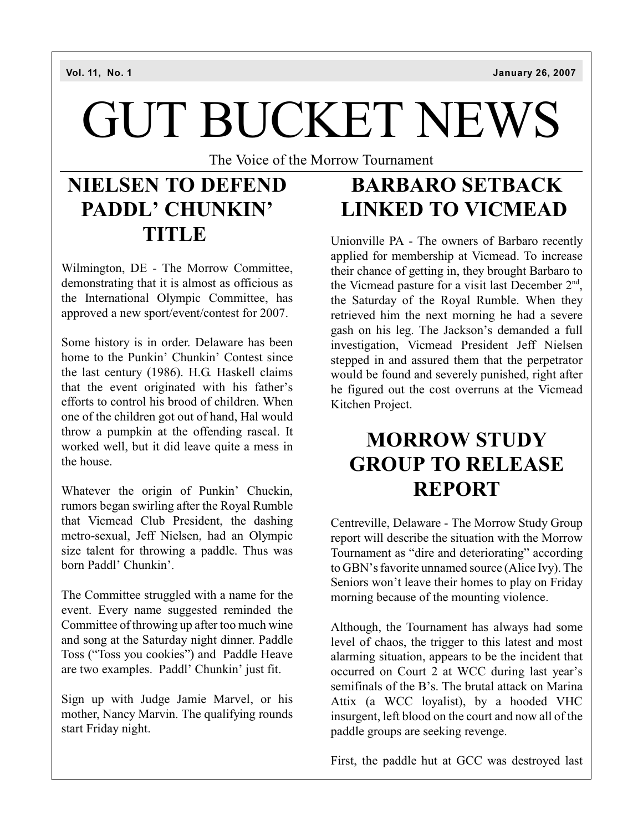# GUT BUCKET NEWS

The Voice of the Morrow Tournament

### **NIELSEN TO DEFEND PADDL' CHUNKIN' TITLE**

Wilmington, DE - The Morrow Committee, demonstrating that it is almost as officious as the International Olympic Committee, has approved a new sport/event/contest for 2007.

Some history is in order. Delaware has been home to the Punkin' Chunkin' Contest since the last century (1986). H.G. Haskell claims that the event originated with his father's efforts to control his brood of children. When one of the children got out of hand, Hal would throw a pumpkin at the offending rascal. It worked well, but it did leave quite a mess in the house.

Whatever the origin of Punkin' Chuckin, rumors began swirling after the Royal Rumble that Vicmead Club President, the dashing metro-sexual, Jeff Nielsen, had an Olympic size talent for throwing a paddle. Thus was born Paddl' Chunkin'.

The Committee struggled with a name for the event. Every name suggested reminded the Committee of throwing up after too much wine and song at the Saturday night dinner. Paddle Toss ("Toss you cookies") and Paddle Heave are two examples. Paddl' Chunkin' just fit.

Sign up with Judge Jamie Marvel, or his mother, Nancy Marvin. The qualifying rounds start Friday night.

### **BARBARO SETBACK LINKED TO VICMEAD**

Unionville PA - The owners of Barbaro recently applied for membership at Vicmead. To increase their chance of getting in, they brought Barbaro to the Vicmead pasture for a visit last December  $2<sup>nd</sup>$ , the Saturday of the Royal Rumble. When they retrieved him the next morning he had a severe gash on his leg. The Jackson's demanded a full investigation, Vicmead President Jeff Nielsen stepped in and assured them that the perpetrator would be found and severely punished, right after he figured out the cost overruns at the Vicmead Kitchen Project.

### **MORROW STUDY GROUP TO RELEASE REPORT**

Centreville, Delaware - The Morrow Study Group report will describe the situation with the Morrow Tournament as "dire and deteriorating" according to GBN's favorite unnamed source (Alice Ivy). The Seniors won't leave their homes to play on Friday morning because of the mounting violence.

Although, the Tournament has always had some level of chaos, the trigger to this latest and most alarming situation, appears to be the incident that occurred on Court 2 at WCC during last year's semifinals of the B's. The brutal attack on Marina Attix (a WCC loyalist), by a hooded VHC insurgent, left blood on the court and now all of the paddle groups are seeking revenge.

First, the paddle hut at GCC was destroyed last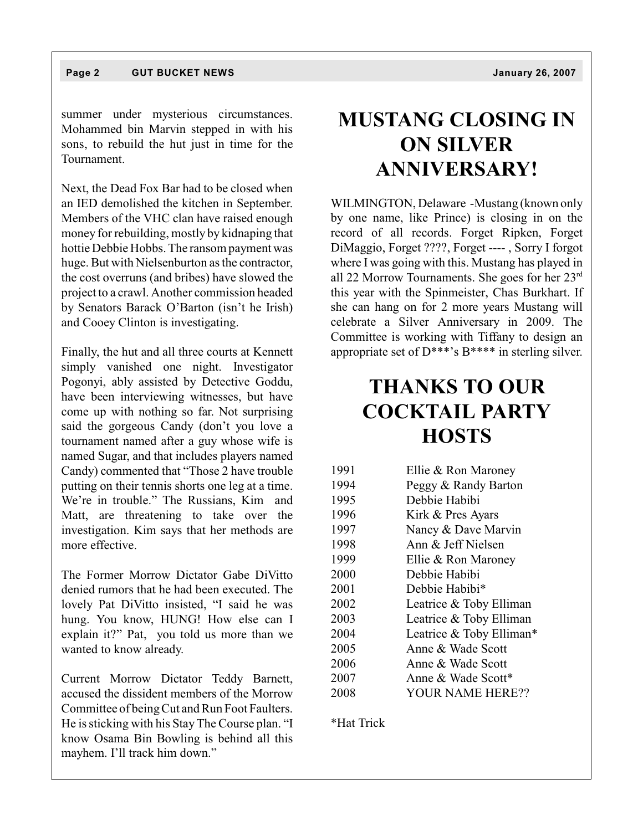summer under mysterious circumstances. Mohammed bin Marvin stepped in with his sons, to rebuild the hut just in time for the Tournament.

Next, the Dead Fox Bar had to be closed when an IED demolished the kitchen in September. Members of the VHC clan have raised enough money for rebuilding, mostly by kidnaping that hottie Debbie Hobbs. The ransom payment was huge. But with Nielsenburton as the contractor, the cost overruns (and bribes) have slowed the project to a crawl. Another commission headed by Senators Barack O'Barton (isn't he Irish) and Cooey Clinton is investigating.

Finally, the hut and all three courts at Kennett simply vanished one night. Investigator Pogonyi, ably assisted by Detective Goddu, have been interviewing witnesses, but have come up with nothing so far. Not surprising said the gorgeous Candy (don't you love a tournament named after a guy whose wife is named Sugar, and that includes players named Candy) commented that "Those 2 have trouble putting on their tennis shorts one leg at a time. We're in trouble." The Russians, Kim and Matt, are threatening to take over the investigation. Kim says that her methods are more effective.

The Former Morrow Dictator Gabe DiVitto denied rumors that he had been executed. The lovely Pat DiVitto insisted, "I said he was hung. You know, HUNG! How else can I explain it?" Pat, you told us more than we wanted to know already.

Current Morrow Dictator Teddy Barnett, accused the dissident members of the Morrow Committee of being Cut and Run Foot Faulters. He is sticking with his Stay The Course plan. "I know Osama Bin Bowling is behind all this mayhem. I'll track him down."

### **MUSTANG CLOSING IN ON SILVER ANNIVERSARY!**

WILMINGTON, Delaware -Mustang (known only by one name, like Prince) is closing in on the record of all records. Forget Ripken, Forget DiMaggio, Forget ????, Forget ---- , Sorry I forgot where I was going with this. Mustang has played in all 22 Morrow Tournaments. She goes for her 23rd this year with the Spinmeister, Chas Burkhart. If she can hang on for 2 more years Mustang will celebrate a Silver Anniversary in 2009. The Committee is working with Tiffany to design an appropriate set of  $D^{***}$ 's  $B^{***}$  in sterling silver.

### **THANKS TO OUR COCKTAIL PARTY HOSTS**

| 1991 | Ellie & Ron Maroney      |
|------|--------------------------|
| 1994 | Peggy & Randy Barton     |
| 1995 | Debbie Habibi            |
| 1996 | Kirk & Pres Ayars        |
| 1997 | Nancy & Dave Marvin      |
| 1998 | Ann & Jeff Nielsen       |
| 1999 | Ellie & Ron Maroney      |
| 2000 | Debbie Habibi            |
| 2001 | Debbie Habibi*           |
| 2002 | Leatrice & Toby Elliman  |
| 2003 | Leatrice & Toby Elliman  |
| 2004 | Leatrice & Toby Elliman* |
| 2005 | Anne & Wade Scott        |
| 2006 | Anne & Wade Scott        |
| 2007 | Anne & Wade Scott*       |
| 2008 | YOUR NAME HERE??         |

\*Hat Trick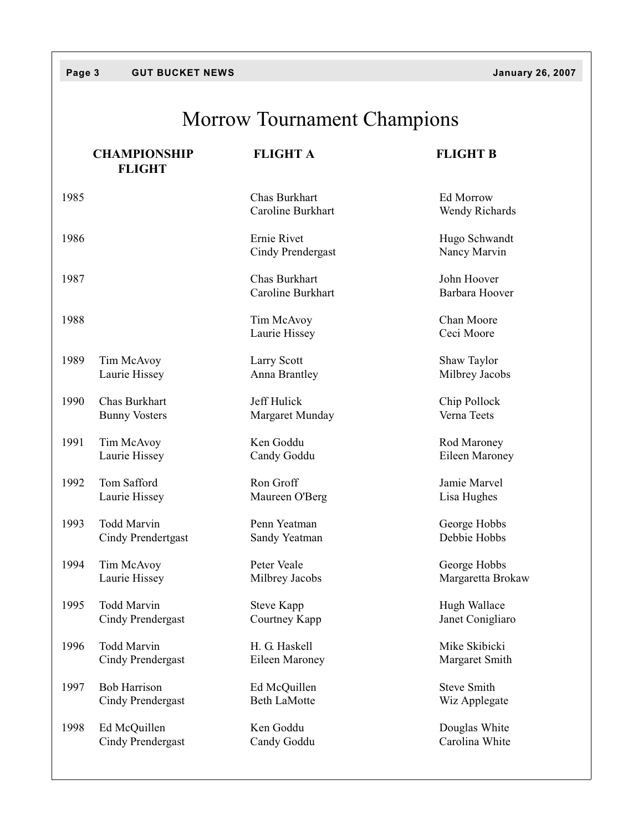## Morrow Tournament Champions

|      | <b>CHAMPIONSHIP</b><br><b>FLIGHT</b> | <b>FLIGHT A</b>                    | <b>FLIGHT B</b>               |
|------|--------------------------------------|------------------------------------|-------------------------------|
| 1985 |                                      | Chas Burkhart<br>Caroline Burkhart | Ed Morrow<br>Wendy Richards   |
| 1986 |                                      | Ernie Rivet<br>Cindy Prendergast   | Hugo Schwandt<br>Nancy Marvin |
| 1987 |                                      | Chas Burkhart<br>Caroline Burkhart | John Hoover<br>Barbara Hoover |
| 1988 |                                      | Tim McAvoy<br>Laurie Hissey        | Chan Moore<br>Ceci Moore      |
| 1989 | Tim McAvoy                           | Larry Scott                        | Shaw Taylor                   |
|      | Laurie Hissey                        | Anna Brantley                      | Milbrey Jacobs                |
| 1990 | Chas Burkhart                        | Jeff Hulick                        | Chip Pollock                  |
|      | <b>Bunny Vosters</b>                 | Margaret Munday                    | Verna Teets                   |
| 1991 | Tim McAvoy                           | Ken Goddu                          | Rod Maroney                   |
|      | Laurie Hissey                        | Candy Goddu                        | Eileen Maroney                |
| 1992 | Tom Safford                          | Ron Groff                          | Jamie Marvel                  |
|      | Laurie Hissey                        | Maureen O'Berg                     | Lisa Hughes                   |
| 1993 | <b>Todd Marvin</b>                   | Penn Yeatman                       | George Hobbs                  |
|      | Cindy Prendertgast                   | Sandy Yeatman                      | Debbie Hobbs                  |
| 1994 | Tim McAvoy                           | Peter Veale                        | George Hobbs                  |
|      | Laurie Hissey                        | Milbrey Jacobs                     | Margaretta Brokaw             |
| 1995 | <b>Todd Marvin</b>                   | <b>Steve Kapp</b>                  | Hugh Wallace                  |
|      | <b>Cindy Prendergast</b>             | Courtney Kapp                      | Janet Conigliaro              |
| 1996 | Todd Marvin                          | H. G. Haskell                      | Mike Skibicki                 |
|      | <b>Cindy Prendergast</b>             | Eileen Maroney                     | Margaret Smith                |
| 1997 | <b>Bob Harrison</b>                  | Ed McQuillen                       | <b>Steve Smith</b>            |
|      | Cindy Prendergast                    | <b>Beth LaMotte</b>                | Wiz Applegate                 |
| 1998 | Ed McQuillen                         | Ken Goddu                          | Douglas White                 |
|      | <b>Cindy Prendergast</b>             | Candy Goddu                        | Carolina White                |